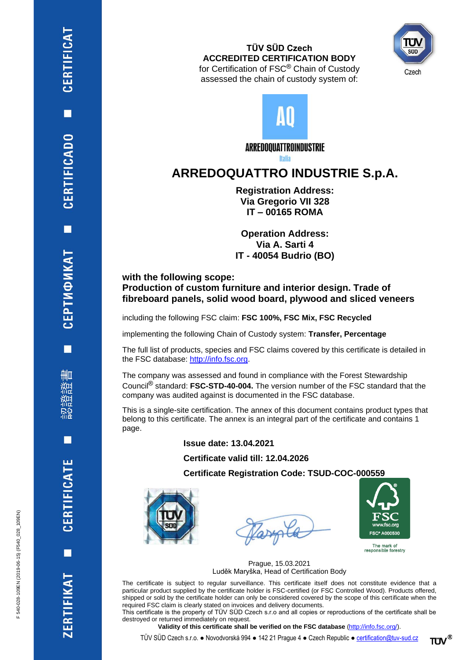## **TÜV SÜD Czech ACCREDITED CERTIFICATION BODY** for Certification of FSC® Chain of Custody

assessed the chain of custody system of:



ARREDOQUATTROINDUSTRIE

**Italia** 

## **ARREDOQUATTRO INDUSTRIE S.p.A.**

**Registration Address: Via Gregorio VII 328 IT – 00165 ROMA**

**Operation Address: Via A. Sarti 4 IT - 40054 Budrio (BO)**

**with the following scope: Production of custom furniture and interior design. Trade of fibreboard panels, solid wood board, plywood and sliced veneers**

including the following FSC claim: **FSC 100%, FSC Mix, FSC Recycled**

implementing the following Chain of Custody system: **Transfer, Percentage**

The full list of products, species and FSC claims covered by this certificate is detailed in the FSC database: [http://info.fsc.org.](http://info.fsc.org/)

The company was assessed and found in compliance with the Forest Stewardship Council® standard: **FSC-STD-40-004.** The version number of the FSC standard that the company was audited against is documented in the FSC database.

This is a single-site certification. The annex of this document contains product types that belong to this certificate. The annex is an integral part of the certificate and contains 1 page.

## **Issue date: 13.04.2021**

**Certificate valid till: 12.04.2026**

**Certificate Registration Code: TSUD-COC-000559**





The mark of<br>responsible forestry

Prague, 15.03.2021 Luděk Maryška, Head of Certification Body

The certificate is subject to regular surveillance. This certificate itself does not constitute evidence that a particular product supplied by the certificate holder is FSC-certified (or FSC Controlled Wood). Products offered, shipped or sold by the certificate holder can only be considered covered by the scope of this certificate when the required FSC claim is clearly stated on invoices and delivery documents.

This certificate is the property of TÜV SÜD Czech s.r.o and all copies or reproductions of the certificate shall be destroyed or returned immediately on request.

**Validity of this certificate shall be verified on the FSC database** [\(http://info.fsc.org/\)](http://info.fsc.org/).

TÜV SÜD Czech s.r.o. ● Novodvorská 994 ● 142 21 Prague 4 ● Czech Republic ● [certification@tuv-sud.cz](mailto:certification@tuv-sud.cz)

F 540-028-109EN (2019-06-15) (F540\_028\_109EN)

F 540-028-109EN (2019-06-15) (F540 028 109EN)